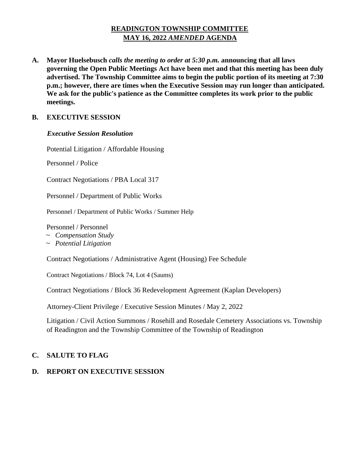# **READINGTON TOWNSHIP COMMITTEE MAY 16, 2022** *AMENDED* **AGENDA**

**A. Mayor Huelsebusch** *calls the meeting to order at 5:30 p.m.* **announcing that all laws governing the Open Public Meetings Act have been met and that this meeting has been duly advertised. The Township Committee aims to begin the public portion of its meeting at 7:30 p.m.; however, there are times when the Executive Session may run longer than anticipated. We ask for the public's patience as the Committee completes its work prior to the public meetings.**

# **B. EXECUTIVE SESSION**

#### *Executive Session Resolution*

Potential Litigation / Affordable Housing

Personnel / Police

Contract Negotiations / PBA Local 317

Personnel / Department of Public Works

Personnel / Department of Public Works / Summer Help

Personnel / Personnel

- ~ *Compensation Study*
- *~ Potential Litigation*

Contract Negotiations / Administrative Agent (Housing) Fee Schedule

Contract Negotiations / Block 74, Lot 4 (Saums)

Contract Negotiations / Block 36 Redevelopment Agreement (Kaplan Developers)

Attorney-Client Privilege / Executive Session Minutes / May 2, 2022

Litigation / Civil Action Summons / Rosehill and Rosedale Cemetery Associations vs. Township of Readington and the Township Committee of the Township of Readington

# **C. SALUTE TO FLAG**

# **D. REPORT ON EXECUTIVE SESSION**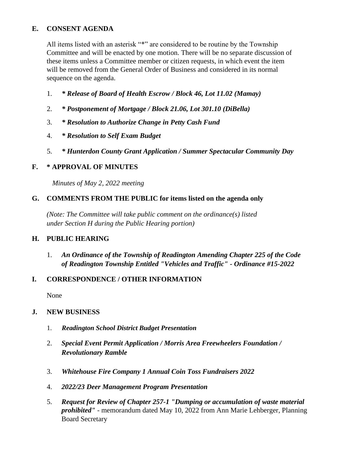# **E. CONSENT AGENDA**

All items listed with an asterisk "\*" are considered to be routine by the Township Committee and will be enacted by one motion. There will be no separate discussion of these items unless a Committee member or citizen requests, in which event the item will be removed from the General Order of Business and considered in its normal sequence on the agenda.

- 1. *\* Release of Board of Health Escrow / Block 46, Lot 11.02 (Mamay)*
- 2. *\* Postponement of Mortgage / Block 21.06, Lot 301.10 (DiBella)*
- 3. *\* Resolution to Authorize Change in Petty Cash Fund*
- 4. *\* Resolution to Self Exam Budget*
- 5. *\* Hunterdon County Grant Application / Summer Spectacular Community Day*

# **F. \* APPROVAL OF MINUTES**

 *Minutes of May 2, 2022 meeting* 

# **G. COMMENTS FROM THE PUBLIC for items listed on the agenda only**

*(Note: The Committee will take public comment on the ordinance(s) listed under Section H during the Public Hearing portion)*

# **H. PUBLIC HEARING**

1. *An Ordinance of the Township of Readington Amending Chapter 225 of the Code of Readington Township Entitled "Vehicles and Traffic" - Ordinance #15-2022* 

# **I. CORRESPONDENCE / OTHER INFORMATION**

None

# **J. NEW BUSINESS**

- 1. *Readington School District Budget Presentation*
- 2. *Special Event Permit Application / Morris Area Freewheelers Foundation / Revolutionary Ramble*
- 3. *Whitehouse Fire Company 1 Annual Coin Toss Fundraisers 2022*
- 4. *2022/23 Deer Management Program Presentation*
- 5. *Request for Review of Chapter 257-1 "Dumping or accumulation of waste material prohibited"* - memorandum dated May 10, 2022 from Ann Marie Lehberger, Planning Board Secretary